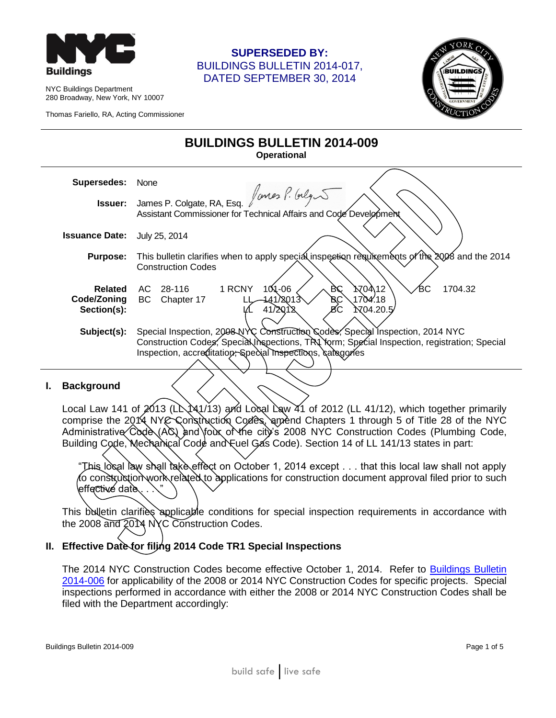

NYC Buildings Department 280 Broadway, New York, NY 10007

Thomas Fariello, RA, Acting Commissioner

## **SUPERSEDED BY:** BUILDINGS BULLETIN 2014-017, DATED SEPTEMBER 30, 2014

**BUILDINGS BULLETIN 2014-009**



| BUILDINGS BULLETIN ZUT4-009<br><b>Operational</b> |                                                                                                |  |  |
|---------------------------------------------------|------------------------------------------------------------------------------------------------|--|--|
| <b>Supersedes:</b>                                | None<br>James P. Colgate, RA, Esq. fantes P. Gelg                                              |  |  |
| <b>Issuer:</b>                                    |                                                                                                |  |  |
|                                                   | Assistant Commissioner for Technical Affairs and Code Development                              |  |  |
| <b>Issuance Date:</b>                             | July 25, 2014                                                                                  |  |  |
| <b>Purpose:</b>                                   | This bulletin clarifies when to apply special inspection requirements of the 2008 and the 2014 |  |  |
|                                                   | <b>Construction Codes</b>                                                                      |  |  |
| <b>Related</b>                                    | <u> አ</u> 70ላ 12<br>1 RCNY<br>$101 - 06$<br>BС<br>1704.32<br>ßС<br>28-116<br>AC.               |  |  |
| Code/Zoning                                       | 1704.18<br>BC<br>441/2013<br>BC<br>Chapter 17                                                  |  |  |
| Section(s):                                       | <b>7704.20.5</b><br>41/2012                                                                    |  |  |
|                                                   |                                                                                                |  |  |
| Subject(s):                                       | Special Inspection, 2008 NYC Construction Codes, Special Inspection, 2014 NYC                  |  |  |
|                                                   | Construction Codes, Special Inspections, TRI Yorm; Special Inspection, registration; Special   |  |  |
|                                                   | Inspection, accreditation, Special Inspections, caregories                                     |  |  |
|                                                   |                                                                                                |  |  |
| Doolcaraund                                       |                                                                                                |  |  |

#### **I. Background**

Local Law 141 of  $2013$  (L $\lambda$ 141/13) and Local Law 41 of 2012 (LL 41/12), which together primarily comprise the 2014 NYC Construction Codes, amend Chapters 1 through 5 of Title 28 of the NYC Administrative Code (AC) and four of the city's 2008 NYC Construction Codes (Plumbing Code, Building Code, Mechanical Code and Fuel Gas Code). Section 14 of LL 141/13 states in part:

"This local law shall take effect on October 1, 2014 except . . . that this local law shall not apply fo construction work related to applications for construction document approval filed prior to such effective date

This bulletin clarifies applicable conditions for special inspection requirements in accordance with the 2008 and 2014 NYC Construction Codes.

#### **II. Effective Date for filing 2014 Code TR1 Special Inspections**

The 2014 NYC Construction Codes become effective October 1, 2014. Refer to [Buildings Bulletin](http://www.nyc.gov/html/dob/downloads/bldgs_bulletins/bb_2014-006.pdf)  [2014-006](http://www.nyc.gov/html/dob/downloads/bldgs_bulletins/bb_2014-006.pdf) for applicability of the 2008 or 2014 NYC Construction Codes for specific projects. Special inspections performed in accordance with either the 2008 or 2014 NYC Construction Codes shall be filed with the Department accordingly: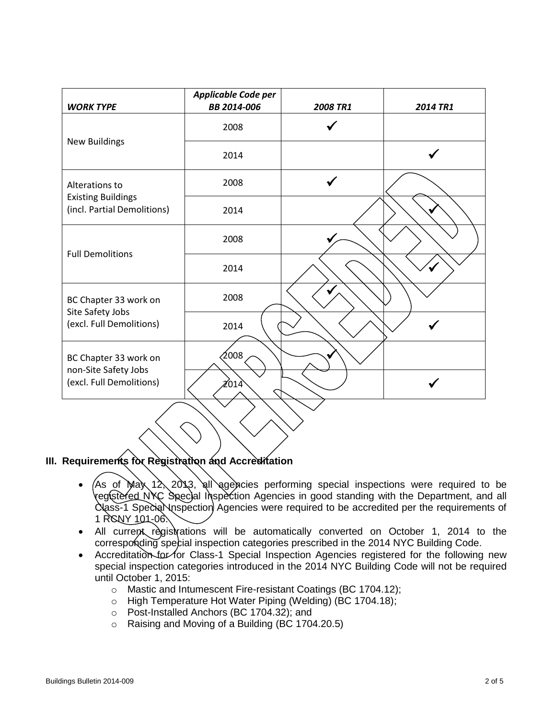| <b>WORK TYPE</b>                                         | Applicable Code per<br>BB 2014-006 | <b>2008 TR1</b> | 2014 TR1 |
|----------------------------------------------------------|------------------------------------|-----------------|----------|
|                                                          | 2008                               |                 |          |
| <b>New Buildings</b>                                     | 2014                               |                 |          |
| Alterations to                                           | 2008                               |                 |          |
| <b>Existing Buildings</b><br>(incl. Partial Demolitions) | 2014                               |                 |          |
| <b>Full Demolitions</b>                                  | 2008                               |                 |          |
|                                                          | 2014                               |                 |          |
| BC Chapter 33 work on                                    | 2008                               |                 |          |
| Site Safety Jobs<br>(excl. Full Demolitions)             | 2014                               |                 |          |
| BC Chapter 33 work on                                    | 2008                               |                 |          |
| non-Site Safety Jobs<br>(excl. Full Demolitions)         | 2014                               |                 |          |
|                                                          |                                    |                 |          |

#### **III. Requirements for Registration and Accreditation**

- $(As$  of May 12, 2013, all agencies performing special inspections were required to be registered NYC Special Inspection Agencies in good standing with the Department, and all Class-1 Specia Nospection Agencies were required to be accredited per the requirements of 1 RCNY 101-06.
- All current registrations will be automatically converted on October 1, 2014 to the corresponding special inspection categories prescribed in the 2014 NYC Building Code.
- Accreditation for for Class-1 Special Inspection Agencies registered for the following new special inspection categories introduced in the 2014 NYC Building Code will not be required until October 1, 2015:
	- o Mastic and Intumescent Fire-resistant Coatings (BC 1704.12);
	- o High Temperature Hot Water Piping (Welding) (BC 1704.18);
	- o Post-Installed Anchors (BC 1704.32); and
	- o Raising and Moving of a Building (BC 1704.20.5)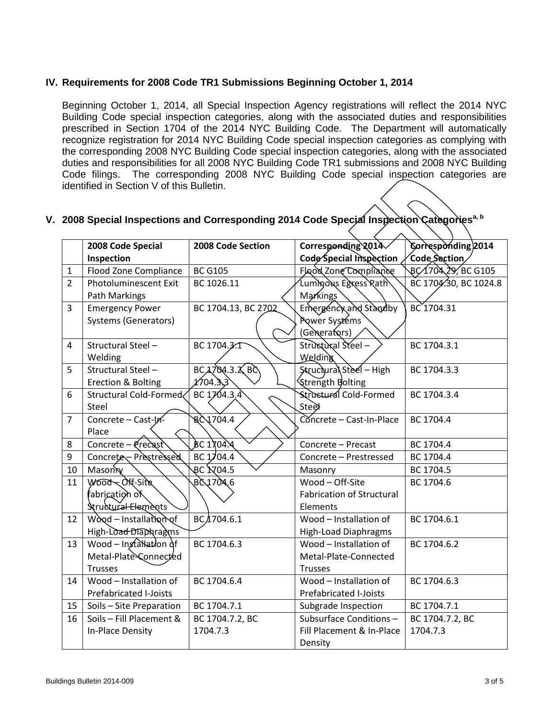### **IV. Requirements for 2008 Code TR1 Submissions Beginning October 1, 2014**

Beginning October 1, 2014, all Special Inspection Agency registrations will reflect the 2014 NYC Building Code special inspection categories, along with the associated duties and responsibilities prescribed in Section 1704 of the 2014 NYC Building Code. The Department will automatically recognize registration for 2014 NYC Building Code special inspection categories as complying with the corresponding 2008 NYC Building Code special inspection categories, along with the associated duties and responsibilities for all 2008 NYC Building Code TR1 submissions and 2008 NYC Building Code filings. The corresponding 2008 NYC Building Code special inspection categories are identified in Section V of this Bulletin.

# **V. 2008 Special Inspections and Corresponding 2014 Code Special Inspection Categoriesa, b**

|                | 2008 Code Special             | 2008 Code Section   | Corresponding 2014               | Corresponding 2014    |
|----------------|-------------------------------|---------------------|----------------------------------|-----------------------|
|                | Inspection                    |                     | Code Special Inspection          | Code Section          |
| $\mathbf{1}$   | Flood Zone Compliance         | <b>BC G105</b>      | Flood Zone Compliance            | BC 1704 29, BC G105   |
| $\overline{2}$ | <b>Photoluminescent Exit</b>  | BC 1026.11          | Luminous Egress Rath             | BC 1704.30, BC 1024.8 |
|                | Path Markings                 |                     | Markings                         |                       |
| $\overline{3}$ | <b>Emergency Power</b>        | BC 1704.13, BC 2702 | Emergency and Standby            | BC 1704.31            |
|                | <b>Systems (Generators)</b>   |                     | Power Systems                    |                       |
|                |                               |                     | (Generators)                     |                       |
| 4              | Structural Steel -            | BC 1704.3.T         | Structural Steel-                | BC 1704.3.1           |
|                | Welding                       |                     | Welding                          |                       |
| 5              | Structural Steel -            | $BCA$ 704.3. $X$ BC | Structural Steel - High          | BC 1704.3.3           |
|                | Erection & Bolting            | 2704.3,3            | Strength Bolting                 |                       |
| 6              | Structural Cold-Formed        | BC $1764.3.4$       | Structural Cold-Formed           | BC 1704.3.4           |
|                | Steel                         |                     | Steళ                             |                       |
| $\overline{7}$ | Concrete - Cast-In-           | <b>BC</b> 1704.4    | Concrete - Cast-In-Place         | BC 1704.4             |
|                | Place                         |                     |                                  |                       |
| 8              | Concrete - Precast            | BC 1704.4           | Concrete - Precast               | BC 1704.4             |
| 9              | Concrete - Prestressed        | BC $1/04.4$         | Concrete - Prestressed           | BC 1704.4             |
| 10             | Masonry                       | BC <b>ኢ</b> 04.5    | Masonry                          | BC 1704.5             |
| 11             | WOOD Off-Site                 | <b>BC1704.6</b>     | Wood - Off-Site                  | BC 1704.6             |
|                | fabricatio∕n o`K              |                     | <b>Fabrication of Structural</b> |                       |
|                | Structural Elements           |                     | Elements                         |                       |
| 12             | Wood - Installation of        | BC/1704.6.1         | Wood - Installation of           | BC 1704.6.1           |
|                | High-Load Diaphragms          |                     | <b>High-Load Diaphragms</b>      |                       |
| 13             | Wood $-$ Ingraturation of     | BC 1704.6.3         | Wood - Installation of           | BC 1704.6.2           |
|                | Metal-Plate Connected         |                     | Metal-Plate-Connected            |                       |
|                | <b>Trusses</b>                |                     | <b>Trusses</b>                   |                       |
| 14             | Wood - Installation of        | BC 1704.6.4         | Wood - Installation of           | BC 1704.6.3           |
|                | <b>Prefabricated I-Joists</b> |                     | <b>Prefabricated I-Joists</b>    |                       |
| 15             | Soils - Site Preparation      | BC 1704.7.1         | Subgrade Inspection              | BC 1704.7.1           |
| 16             | Soils - Fill Placement &      | BC 1704.7.2, BC     | Subsurface Conditions-           | BC 1704.7.2, BC       |
|                | In-Place Density              | 1704.7.3            | Fill Placement & In-Place        | 1704.7.3              |
|                |                               |                     | Density                          |                       |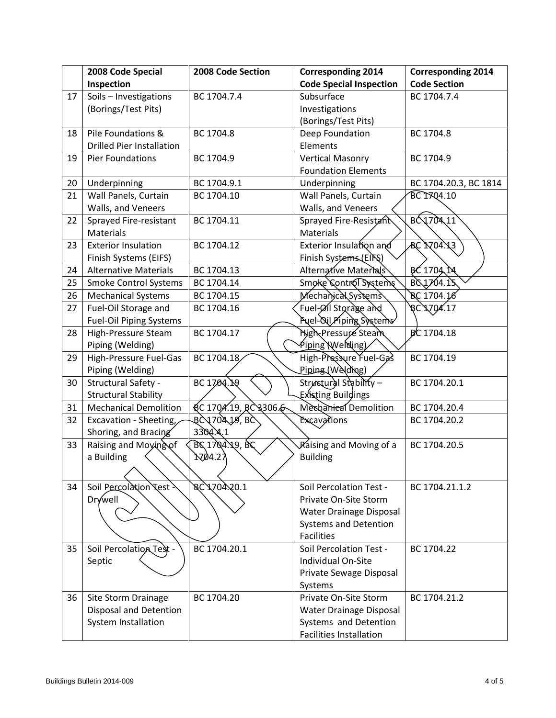|        | 2008 Code Special                | 2008 Code Section     | <b>Corresponding 2014</b>      | <b>Corresponding 2014</b> |
|--------|----------------------------------|-----------------------|--------------------------------|---------------------------|
|        | Inspection                       |                       | <b>Code Special Inspection</b> | <b>Code Section</b>       |
| 17     | Soils - Investigations           | BC 1704.7.4           | Subsurface                     | BC 1704.7.4               |
|        | (Borings/Test Pits)              |                       | Investigations                 |                           |
|        |                                  |                       | (Borings/Test Pits)            |                           |
| 18     | Pile Foundations &               | BC 1704.8             | Deep Foundation                | BC 1704.8                 |
|        | <b>Drilled Pier Installation</b> |                       | Elements                       |                           |
| 19     | Pier Foundations                 | BC 1704.9             | <b>Vertical Masonry</b>        | BC 1704.9                 |
|        |                                  |                       | <b>Foundation Elements</b>     |                           |
| $20\,$ | Underpinning                     | BC 1704.9.1           | Underpinning                   | BC 1704.20.3, BC 1814     |
| 21     | Wall Panels, Curtain             | BC 1704.10            | Wall Panels, Curtain           | BC 1704.10                |
|        | Walls, and Veneers               |                       | Walls, and Veneers             |                           |
| 22     | Sprayed Fire-resistant           | BC 1704.11            | Sprayed Fire-Resistant         | BC170411                  |
|        | Materials                        |                       | Materials                      |                           |
| 23     | <b>Exterior Insulation</b>       | BC 1704.12            | Exterior Insulation and        | <b>BC 1704.13</b>         |
|        | Finish Systems (EIFS)            |                       | Finish Systems (EIRS)          |                           |
| 24     | <b>Alternative Materials</b>     | BC 1704.13            | Alternative Materials          | BC 1704 TA                |
| 25     | <b>Smoke Control Systems</b>     | BC 1704.14            | Smoke Control Systems          | BC 1704.15                |
| 26     | <b>Mechanical Systems</b>        | BC 1704.15            | Mechanical Systems             | BC 1704.16                |
| 27     | Fuel-Oil Storage and             | BC 1704.16            | Fuel-Øil Storage and           | RC 1704.17                |
|        | <b>Fuel-Oil Piping Systems</b>   |                       | Puel-Qil/Piping Systems        |                           |
| 28     | High-Pressure Steam              | BC 1704.17            | High-Pressure Steam            | BC 1704.18                |
|        | Piping (Welding)                 |                       | Piping Welding)                |                           |
| 29     | High-Pressure Fuel-Gas           | BC 1704.18            | High-Pressure Fuel-Gas         | BC 1704.19                |
|        | Piping (Welding)                 |                       | Piping (Welding)               |                           |
| 30     | Structural Safety -              | BC 1704.19            | Strustural Stability-          | BC 1704.20.1              |
|        | <b>Structural Stability</b>      |                       | Existing Buildings             |                           |
| 31     | <b>Mechanical Demolition</b>     | QC 1704.19, RC3306.6  | Meshanical Demolition          | BC 1704.20.4              |
| 32     | Excavation - Sheeting,           | <b>BC 1704 JS, BC</b> | Excavations                    | BC 1704.20.2              |
|        | Shoring, and Bracing             | 3304.4.1              |                                |                           |
| 33     | Raising and Moying of            | BC 1704.49, BC        | <b>Raising and Moving of a</b> | BC 1704.20.5              |
|        | a Building                       | <u> ኢማ</u> 155        | <b>Building</b>                |                           |
|        | ╱                                |                       |                                |                           |
| 34     | Soil Percolation Test            | BC 1704.20.1          | Soil Percolation Test -        | BC 1704.21.1.2            |
|        | <b>Drywell</b>                   |                       | Private On-Site Storm          |                           |
|        |                                  |                       | Water Drainage Disposal        |                           |
|        |                                  |                       | <b>Systems and Detention</b>   |                           |
|        |                                  |                       | <b>Facilities</b>              |                           |
| 35     | <b>Soil Percolation Test</b>     | BC 1704.20.1          | Soil Percolation Test -        | BC 1704.22                |
|        | Septic                           |                       | Individual On-Site             |                           |
|        |                                  |                       | Private Sewage Disposal        |                           |
|        |                                  |                       | Systems                        |                           |
| 36     | Site Storm Drainage              | BC 1704.20            | Private On-Site Storm          | BC 1704.21.2              |
|        | <b>Disposal and Detention</b>    |                       | Water Drainage Disposal        |                           |
|        | System Installation              |                       | Systems and Detention          |                           |
|        |                                  |                       | <b>Facilities Installation</b> |                           |